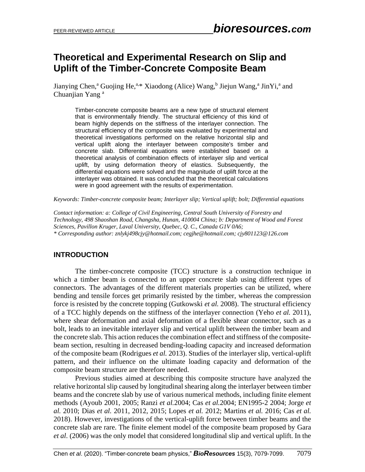# **Theoretical and Experimental Research on Slip and Uplift of the Timber-Concrete Composite Beam**

Jianying Chen,<sup>a</sup> Guojing He,<sup>a,\*</sup> Xiaodong (Alice) Wang,<sup>b</sup> Jiejun Wang,<sup>a</sup> JinYi,<sup>a</sup> and Chuanjian Yang<sup>a</sup>

Timber-concrete composite beams are a new type of structural element that is environmentally friendly. The structural efficiency of this kind of beam highly depends on the stiffness of the interlayer connection. The structural efficiency of the composite was evaluated by experimental and theoretical investigations performed on the relative horizontal slip and vertical uplift along the interlayer between composite's timber and concrete slab. Differential equations were established based on a theoretical analysis of combination effects of interlayer slip and vertical uplift, by using deformation theory of elastics. Subsequently, the differential equations were solved and the magnitude of uplift force at the interlayer was obtained. It was concluded that the theoretical calculations were in good agreement with the results of experimentation.

*Keywords: Timber-concrete composite beam; Interlayer slip; Vertical uplift; bolt; Differential equations*

*Contact information: a: College of Civil Engineering, Central South University of Forestry and Technology, 498 Shaoshan Road, Changsha, Hunan, 410004 China; b: Department of Wood and Forest Sciences, Pavillon Kruger, Laval University, Quebec, Q. C., Canada G1V 0A6; \* Corresponding author: znlykj498cjy@hotmail.com; cegjhe@hotmail.com; cjy801123@126.com*

## **INTRODUCTION**

The timber-concrete composite (TCC) structure is a construction technique in which a timber beam is connected to an upper concrete slab using different types of connectors. The advantages of the different materials properties can be utilized, where bending and tensile forces get primarily resisted by the timber, whereas the compression force is resisted by the concrete topping (Gutkowski *et al.* 2008). The structural efficiency of a TCC highly depends on the stiffness of the interlayer connection (Yeho *et al.* 2011), where shear deformation and axial deformation of a flexible shear connector, such as a bolt, leads to an inevitable interlayer slip and vertical uplift between the timber beam and the concrete slab. This action reduces the combination effect and stiffness of the compositebeam section, resulting in decreased bending-loading capacity and increased deformation of the composite beam (Rodrigues *et al.* 2013). Studies of the interlayer slip, vertical-uplift pattern, and their influence on the ultimate loading capacity and deformation of the composite beam structure are therefore needed.

Previous studies aimed at describing this composite structure have analyzed the relative horizontal slip caused by longitudinal shearing along the interlayer between timber beams and the concrete slab by use of various numerical methods, including finite element methods (Ayoub 2001, 2005; Ranzi *et al.*2004; Cas *et al.*2004; EN1995-2 2004; Jorge *et al.* 2010; Dias *et al.* 2011, 2012, 2015; Lopes *et al.* 2012; Martins *et al.* 2016; Cas *et al.* 2018). However, investigations of the vertical-uplift force between timber beams and the concrete slab are rare. The finite element model of the composite beam proposed by Gara *et al*. (2006) was the only model that considered longitudinal slip and vertical uplift. In the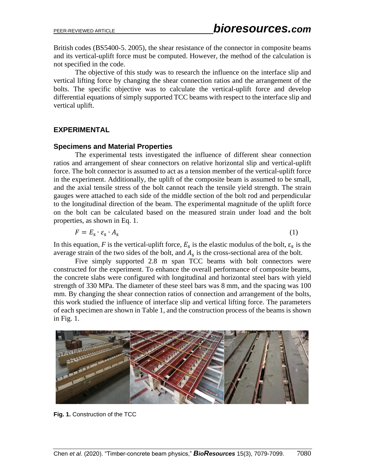British codes (BS5400-5. 2005), the shear resistance of the connector in composite beams and its vertical-uplift force must be computed. However, the method of the calculation is not specified in the code.

The objective of this study was to research the influence on the interface slip and vertical lifting force by changing the shear connection ratios and the arrangement of the bolts. The specific objective was to calculate the vertical-uplift force and develop differential equations of simply supported TCC beams with respect to the interface slip and vertical uplift.

#### **EXPERIMENTAL**

#### **Specimens and Material Properties**

The experimental tests investigated the influence of different shear connection ratios and arrangement of shear connectors on relative horizontal slip and vertical-uplift force. The bolt connector is assumed to act as a tension member of the vertical-uplift force in the experiment. Additionally, the uplift of the composite beam is assumed to be small, and the axial tensile stress of the bolt cannot reach the tensile yield strength. The strain gauges were attached to each side of the middle section of the bolt rod and perpendicular to the longitudinal direction of the beam. The experimental magnitude of the uplift force on the bolt can be calculated based on the measured strain under load and the bolt properties, as shown in Eq. 1.

$$
F = E_s \cdot \varepsilon_s \cdot A_s \tag{1}
$$

In this equation, *F* is the vertical-uplift force,  $E_s$  is the elastic modulus of the bolt,  $\varepsilon_s$  is the average strain of the two sides of the bolt, and  $A_s$  is the cross-sectional area of the bolt.

Five simply supported 2.8 m span TCC beams with bolt connectors were constructed for the experiment. To enhance the overall performance of composite beams, the concrete slabs were configured with longitudinal and horizontal steel bars with yield strength of 330 MPa. The diameter of these steel bars was 8 mm, and the spacing was 100 mm. By changing the shear connection ratios of connection and arrangement of the bolts, this work studied the influence of interface slip and vertical lifting force. The parameters of each specimen are shown in Table 1, and the construction process of the beams is shown in Fig. 1.



**Fig. 1.** Construction of the TCC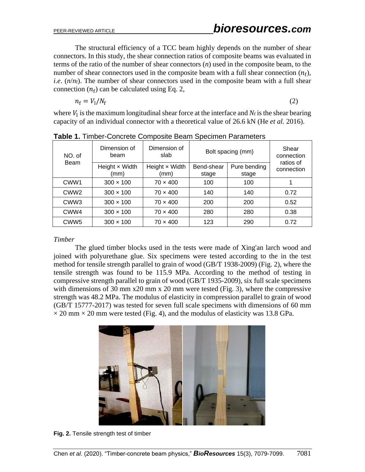The structural efficiency of a TCC beam highly depends on the number of shear connectors. In this study, the shear connection ratios of composite beams was evaluated in terms of the ratio of the number of shear connectors (*n*) used in the composite beam, to the number of shear connectors used in the composite beam with a full shear connection  $(n_f)$ , *i.e*. (*n*/*n*f). The number of shear connectors used in the composite beam with a full shear connection  $(n_f)$  can be calculated using Eq. 2,

$$
n_{\rm f}=V_{\rm l}/N_{\rm f}
$$

(2)

where  $V_1$  is the maximum longitudinal shear force at the interface and  $N_f$  is the shear bearing capacity of an individual connector with a theoretical value of 26.6 kN (He *et al.* 2016).

| NO. of<br>Beam   | Dimension of<br>beam          | Dimension of<br>slab          | Bolt spacing (mm)   |                       | Shear<br>connection     |  |
|------------------|-------------------------------|-------------------------------|---------------------|-----------------------|-------------------------|--|
|                  | Height $\times$ Width<br>(mm) | Height $\times$ Width<br>(mm) | Bend-shear<br>stage | Pure bending<br>stage | ratios of<br>connection |  |
| CWW <sub>1</sub> | $300 \times 100$              | $70 \times 400$               | 100                 | 100                   |                         |  |
| CWW <sub>2</sub> | $300 \times 100$              | $70 \times 400$               | 140                 | 140                   | 0.72                    |  |
| CWW <sub>3</sub> | $300 \times 100$              | $70 \times 400$               | 200                 | 200                   | 0.52                    |  |
| CWW4             | $300 \times 100$              | $70 \times 400$               | 280                 | 280                   | 0.38                    |  |
| CWW <sub>5</sub> | $300 \times 100$              | $70 \times 400$               | 123                 | 290                   | 0.72                    |  |

**Table 1.** Timber-Concrete Composite Beam Specimen Parameters

#### *Timber*

The glued timber blocks used in the tests were made of Xing'an larch wood and joined with polyurethane glue. Six specimens were tested according to the in the test method for tensile strength parallel to grain of wood (GB/T 1938-2009) (Fig. 2), where the tensile strength was found to be 115.9 MPa. According to the method of testing in compressive strength parallel to grain of wood (GB/T 1935-2009), six full scale specimens with dimensions of 30 mm  $x20$  mm  $x 20$  mm were tested (Fig. 3), where the compressive strength was 48.2 MPa. The modulus of elasticity in compression parallel to grain of wood (GB/T 15777-2017) was tested for seven full scale specimens with dimensions of 60 mm  $\times$  20 mm  $\times$  20 mm were tested (Fig. 4), and the modulus of elasticity was 13.8 GPa.



**Fig. 2.** Tensile strength test of timber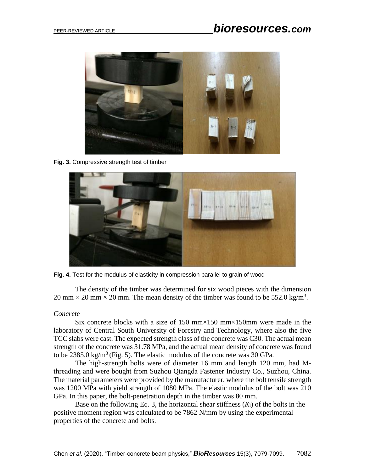

**Fig. 3.** Compressive strength test of timber



**Fig. 4.** Test for the modulus of elasticity in compression parallel to grain of wood

The density of the timber was determined for six wood pieces with the dimension 20 mm  $\times$  20 mm  $\times$  20 mm. The mean density of the timber was found to be 552.0 kg/m<sup>3</sup>.

## *Concrete*

Six concrete blocks with a size of 150 mm $\times$ 150 mm $\times$ 150mm were made in the laboratory of Central South University of Forestry and Technology, where also the five TCC slabs were cast. The expected strength class of the concrete was C30. The actual mean strength of the concrete was 31.78 MPa, and the actual mean density of concrete was found to be 2385.0 kg/m<sup>3</sup> (Fig. 5). The elastic modulus of the concrete was 30 GPa.

The high-strength bolts were of diameter 16 mm and length 120 mm, had Mthreading and were bought from Suzhou Qiangda Fastener Industry Co., Suzhou, China. The material parameters were provided by the manufacturer, where the bolt tensile strength was 1200 MPa with yield strength of 1080 MPa. The elastic modulus of the bolt was 210 GPa. In this paper, the bolt-penetration depth in the timber was 80 mm.

Base on the following Eq. 3, the horizontal shear stiffness  $(K<sub>1</sub>)$  of the bolts in the positive moment region was calculated to be 7862 N/mm by using the experimental properties of the concrete and bolts.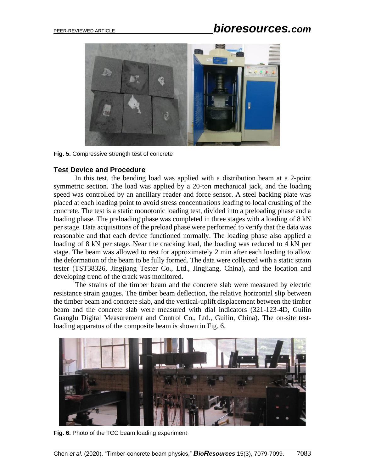

**Fig. 5.** Compressive strength test of concrete

#### **Test Device and Procedure**

In this test, the bending load was applied with a distribution beam at a 2-point symmetric section. The load was applied by a 20-ton mechanical jack, and the loading speed was controlled by an ancillary reader and force sensor. A steel backing plate was placed at each loading point to avoid stress concentrations leading to local crushing of the concrete. The test is a static monotonic loading test, divided into a preloading phase and a loading phase. The preloading phase was completed in three stages with a loading of 8 kN per stage. Data acquisitions of the preload phase were performed to verify that the data was reasonable and that each device functioned normally. The loading phase also applied a loading of 8 kN per stage. Near the cracking load, the loading was reduced to 4 kN per stage. The beam was allowed to rest for approximately 2 min after each loading to allow the deformation of the beam to be fully formed. The data were collected with a static strain tester (TST38326, Jingjiang Tester Co., Ltd., Jingjiang, China), and the location and developing trend of the crack was monitored.

The strains of the timber beam and the concrete slab were measured by electric resistance strain gauges. The timber beam deflection, the relative horizontal slip between the timber beam and concrete slab, and the vertical-uplift displacement between the timber beam and the concrete slab were measured with dial indicators (321-123-4D, Guilin Guanglu Digital Measurement and Control Co., Ltd., Guilin, China). The on-site testloading apparatus of the composite beam is shown in Fig. 6.



**Fig. 6.** Photo of the TCC beam loading experiment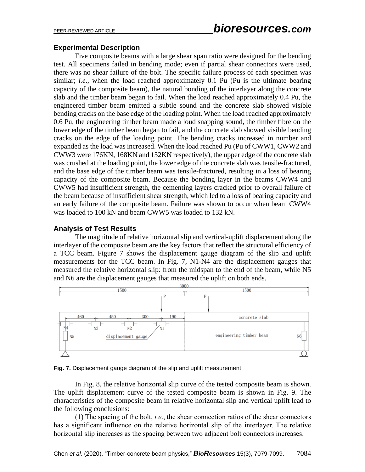#### **Experimental Description**

Five composite beams with a large shear span ratio were designed for the bending test. All specimens failed in bending mode; even if partial shear connectors were used, there was no shear failure of the bolt. The specific failure process of each specimen was similar; *i.e*., when the load reached approximately 0.1 Pu (Pu is the ultimate bearing capacity of the composite beam), the natural bonding of the interlayer along the concrete slab and the timber beam began to fail. When the load reached approximately 0.4 Pu, the engineered timber beam emitted a subtle sound and the concrete slab showed visible bending cracks on the base edge of the loading point. When the load reached approximately 0.6 Pu, the engineering timber beam made a loud snapping sound, the timber fibre on the lower edge of the timber beam began to fail, and the concrete slab showed visible bending cracks on the edge of the loading point. The bending cracks increased in number and expanded as the load was increased. When the load reached Pu (Pu of CWW1, CWW2 and CWW3 were 176KN, 168KN and 152KN respectively), the upper edge of the concrete slab was crushed at the loading point, the lower edge of the concrete slab was tensile-fractured, and the base edge of the timber beam was tensile-fractured, resulting in a loss of bearing capacity of the composite beam. Because the bonding layer in the beams CWW4 and CWW5 had insufficient strength, the cementing layers cracked prior to overall failure of the beam because of insufficient shear strength, which led to a loss of bearing capacity and an early failure of the composite beam. Failure was shown to occur when beam CWW4 was loaded to 100 kN and beam CWW5 was loaded to 132 kN.

## **Analysis of Test Results**

The magnitude of relative horizontal slip and vertical-uplift displacement along the interlayer of the composite beam are the key factors that reflect the structural efficiency of a TCC beam. Figure 7 shows the displacement gauge diagram of the slip and uplift measurements for the TCC beam. In Fig. 7, N1-N4 are the displacement gauges that measured the relative horizontal slip: from the midspan to the end of the beam, while N5 and N6 are the displacement gauges that measured the uplift on both ends.



**Fig. 7.** Displacement gauge diagram of the slip and uplift measurement

In Fig. 8, the relative horizontal slip curve of the tested composite beam is shown. The uplift displacement curve of the tested composite beam is shown in Fig. 9. The characteristics of the composite beam in relative horizontal slip and vertical uplift lead to the following conclusions:

(1) The spacing of the bolt, *i.e*., the shear connection ratios of the shear connectors has a significant influence on the relative horizontal slip of the interlayer. The relative horizontal slip increases as the spacing between two adjacent bolt connectors increases.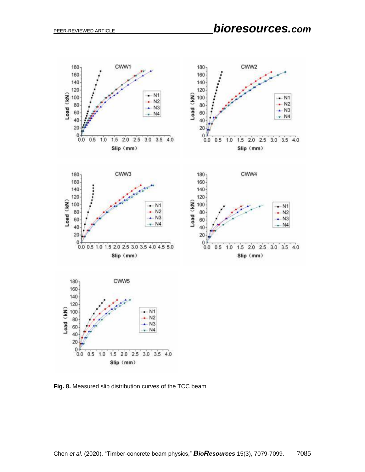

**Fig. 8.** Measured slip distribution curves of the TCC beam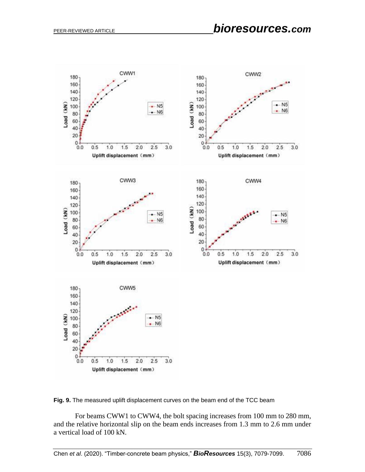

**Fig. 9.** The measured uplift displacement curves on the beam end of the TCC beam

For beams CWW1 to CWW4, the bolt spacing increases from 100 mm to 280 mm, and the relative horizontal slip on the beam ends increases from 1.3 mm to 2.6 mm under a vertical load of 100 kN.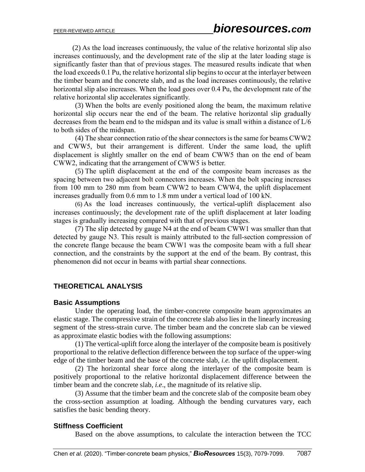(2) As the load increases continuously, the value of the relative horizontal slip also increases continuously, and the development rate of the slip at the later loading stage is significantly faster than that of previous stages. The measured results indicate that when the load exceeds 0.1 Pu, the relative horizontal slip begins to occur at the interlayer between the timber beam and the concrete slab, and as the load increases continuously, the relative horizontal slip also increases. When the load goes over 0.4 Pu, the development rate of the relative horizontal slip accelerates significantly.

(3) When the bolts are evenly positioned along the beam, the maximum relative horizontal slip occurs near the end of the beam. The relative horizontal slip gradually decreases from the beam end to the midspan and its value is small within a distance of L/6 to both sides of the midspan.

(4) The shear connection ratio of the shear connectors is the same for beams CWW2 and CWW5, but their arrangement is different. Under the same load, the uplift displacement is slightly smaller on the end of beam CWW5 than on the end of beam CWW2, indicating that the arrangement of CWW5 is better.

(5) The uplift displacement at the end of the composite beam increases as the spacing between two adjacent bolt connectors increases. When the bolt spacing increases from 100 mm to 280 mm from beam CWW2 to beam CWW4, the uplift displacement increases gradually from 0.6 mm to 1.8 mm under a vertical load of 100 kN.

(6) As the load increases continuously, the vertical-uplift displacement also increases continuously; the development rate of the uplift displacement at later loading stages is gradually increasing compared with that of previous stages.

(7) The slip detected by gauge N4 at the end of beam CWW1 was smaller than that detected by gauge N3. This result is mainly attributed to the full-section compression of the concrete flange because the beam CWW1 was the composite beam with a full shear connection, and the constraints by the support at the end of the beam. By contrast, this phenomenon did not occur in beams with partial shear connections.

## **THEORETICAL ANALYSIS**

#### **Basic Assumptions**

Under the operating load, the timber-concrete composite beam approximates an elastic stage. The compressive strain of the concrete slab also lies in the linearly increasing segment of the stress-strain curve. The timber beam and the concrete slab can be viewed as approximate elastic bodies with the following assumptions:

(1) The vertical-uplift force along the interlayer of the composite beam is positively proportional to the relative deflection difference between the top surface of the upper-wing edge of the timber beam and the base of the concrete slab, *i.e.* the uplift displacement.

(2) The horizontal shear force along the interlayer of the composite beam is positively proportional to the relative horizontal displacement difference between the timber beam and the concrete slab, *i.e*., the magnitude of its relative slip.

(3) Assume that the timber beam and the concrete slab of the composite beam obey the cross-section assumption at loading. Although the bending curvatures vary, each satisfies the basic bending theory.

## **Stiffness Coefficient**

Based on the above assumptions, to calculate the interaction between the TCC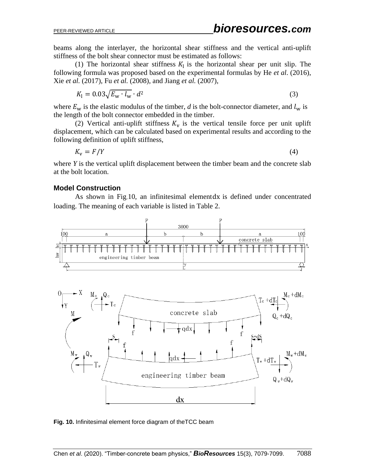beams along the interlayer, the horizontal shear stiffness and the vertical anti-uplift stiffness of the bolt shear connector must be estimated as follows:

(1) The horizontal shear stiffness  $K<sub>1</sub>$  is the horizontal shear per unit slip. The following formula was proposed based on the experimental formulas by He *et al*. (2016), Xie *et al.* (2017), Fu *et al.* (2008), and Jiang *et al.* (2007),

$$
K_{\rm l} = 0.03\sqrt{E_{\rm w} \cdot l_{\rm w}} \cdot d^2 \tag{3}
$$

where  $E_w$  is the elastic modulus of the timber, *d* is the bolt-connector diameter, and  $l_w$  is the length of the bolt connector embedded in the timber.

(2) Vertical anti-uplift stiffness  $K_v$  is the vertical tensile force per unit uplift displacement, which can be calculated based on experimental results and according to the following definition of uplift stiffness,

 $K_{\rm v} = F/Y$  (4)

where *Y* is the vertical uplift displacement between the timber beam and the concrete slab at the bolt location.

#### **Model Construction**

As shown in Fig.10, an infinitesimal elementdx is defined under concentrated loading. The meaning of each variable is listed in Table 2.



**Fig. 10.** Infinitesimal element force diagram of theTCC beam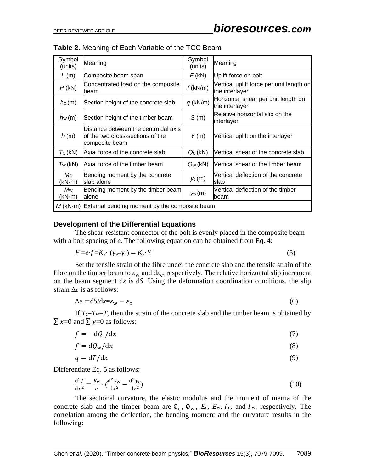| Symbol<br>(units)     | Meaning                                                                                    | Symbol<br>(units) | Meaning                                                    |  |  |
|-----------------------|--------------------------------------------------------------------------------------------|-------------------|------------------------------------------------------------|--|--|
| L(m)                  | Composite beam span                                                                        | F(kN)             | Uplift force on bolt                                       |  |  |
| $P$ (kN)              | Concentrated load on the composite<br>beam                                                 | $f$ (kN/m)        | Vertical uplift force per unit length on<br>the interlayer |  |  |
| $hc$ (m)              | Section height of the concrete slab                                                        | $q$ (kN/m)        | Horizontal shear per unit length on<br>the interlayer      |  |  |
| $h_{\rm W}$ (m)       | Section height of the timber beam                                                          | S(m)              | Relative horizontal slip on the<br>interlayer              |  |  |
| h(m)                  | Distance between the centroidal axis<br>of the two cross-sections of the<br>composite beam | Y(m)              | Vertical uplift on the interlayer                          |  |  |
| $T_{\rm C}$ (kN)      | Axial force of the concrete slab                                                           | $Q_C(kN)$         | Vertical shear of the concrete slab                        |  |  |
| $T_W(kN)$             | Axial force of the timber beam                                                             | $Q_W(kN)$         | Vertical shear of the timber beam                          |  |  |
| $M_{\rm C}$<br>(kN·m) | Bending moment by the concrete<br>slab alone                                               | $y_c(m)$          | Vertical deflection of the concrete<br>Islab               |  |  |
| Mw<br>(kN·m)          | Bending moment by the timber beam<br>lalone                                                | $y_w(m)$          | Vertical deflection of the timber<br>lbeam                 |  |  |
|                       | $M$ (kN $\cdot$ m) External bending moment by the composite beam                           |                   |                                                            |  |  |

#### **Table 2.** Meaning of Each Variable of the TCC Beam

#### **Development of the Differential Equations**

The shear-resistant connector of the bolt is evenly placed in the composite beam with a bolt spacing of *e*. The following equation can be obtained from Eq. 4:

$$
F = e \cdot f = K_v \cdot (y_w - y_c) = K_v \cdot Y \tag{5}
$$

Set the tensile strain of the fibre under the concrete slab and the tensile strain of the fibre on the timber beam to  $\varepsilon_w$  and  $d\varepsilon_c$ , respectively. The relative horizontal slip increment on the beam segment d*x* is d*S*. Using the deformation coordination conditions, the slip strain Δ*ε* is as follows:

$$
\Delta \varepsilon = dS/dx = \varepsilon_{\rm w} - \varepsilon_{\rm c} \tag{6}
$$

If  $T_c = T_w = T$ , then the strain of the concrete slab and the timber beam is obtained by  $\sum x=0$  and  $\sum y=0$  as follows:

$$
f = -dQ_c/dx \tag{7}
$$

$$
f = dQ_w/dx \tag{8}
$$

$$
q = dT/dx \tag{9}
$$

Differentiate Eq. 5 as follows:

$$
\frac{\mathrm{d}^2 f}{\mathrm{d}x^2} = \frac{K_v}{e} \cdot \left(\frac{\mathrm{d}^2 y_w}{\mathrm{d}x^2} - \frac{\mathrm{d}^2 y_c}{\mathrm{d}x^2}\right) \tag{10}
$$

The sectional curvature, the elastic modulus and the moment of inertia of the concrete slab and the timber beam are  $\phi_c$ ,  $\phi_w$ ,  $E_c$ ,  $E_w$ ,  $I_c$ , and  $I_w$ , respectively. The correlation among the deflection, the bending moment and the curvature results in the following: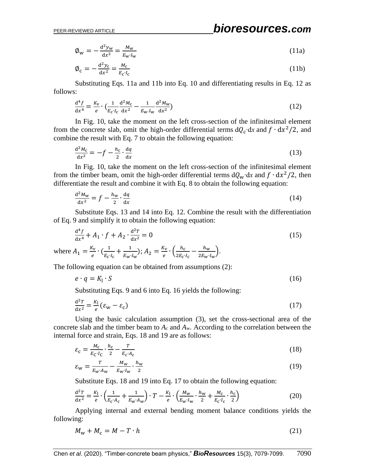$$
\phi_{\rm w} = -\frac{d^2 y_{\rm w}}{dx^2} = \frac{M_{\rm w}}{E_{\rm w} I_{\rm w}}\tag{11a}
$$

$$
\phi_c = -\frac{d^2 y_c}{dx^2} = \frac{M_c}{E_c I_c} \tag{11b}
$$

Substituting Eqs. 11a and 11b into Eq. 10 and differentiating results in Eq. 12 as follows:

$$
\frac{d^4 f}{dx^4} = \frac{K_V}{e} \cdot \left(\frac{1}{E_C \cdot I_C} \frac{d^2 M_C}{dx^2} - \frac{1}{E_W \cdot I_W} \frac{d^2 M_W}{dx^2}\right)
$$
(12)

In Fig. 10, take the moment on the left cross-section of the infinitesimal element from the concrete slab, omit the high-order differential terms  $dQ_c$  dx and  $f \cdot dx^2/2$ , and combine the result with Eq. 7 to obtain the following equation:

$$
\frac{\mathrm{d}^2 M_{\rm c}}{\mathrm{d}x^2} = -f - \frac{h_{\rm c}}{2} \cdot \frac{\mathrm{d}q}{\mathrm{d}x} \tag{13}
$$

In Fig. 10, take the moment on the left cross-section of the infinitesimal element from the timber beam, omit the high-order differential terms  $dQ_w \, dx$  and  $f \cdot dx^2/2$ , then differentiate the result and combine it with Eq. 8 to obtain the following equation:

$$
\frac{d^2 M_w}{dx^2} = f - \frac{h_w}{2} \cdot \frac{dq}{dx}
$$
 (14)

Substitute Eqs. 13 and 14 into Eq. 12. Combine the result with the differentiation of Eq. 9 and simplify it to obtain the following equation:

$$
\frac{d^4 f}{dx^4} + A_1 \cdot f + A_2 \cdot \frac{d^2 T}{dx^2} = 0
$$
\n(15)

where  $A_1 = \frac{K_v}{g}$  $\frac{K_{\mathbf{V}}}{e}$   $\cdot$   $\left(\frac{1}{E_{\mathbf{C}}} \right)$  $\frac{1}{E_{\rm c}I_{\rm c}} + \frac{1}{E_{\rm w}}$  $\frac{1}{E_{\text{w}}I_{\text{w}}}; A_2 = \frac{K_{\text{v}}}{e}$  $\frac{K_{\rm V}}{e}$  •  $\left(\frac{h_{\rm C}}{2E_{\rm C}}\right)$  $\frac{h_{\rm c}}{2E_{\rm c}I_{\rm c}} - \frac{h_{\rm w}}{2E_{\rm w}}$  $\frac{n_{\rm w}}{2E_{\rm w}I_{\rm w}}$ .

The following equation can be obtained from assumptions (2):

$$
e \cdot q = K_1 \cdot S \tag{16}
$$

Substituting Eqs. 9 and 6 into Eq. 16 yields the following:

$$
\frac{\mathrm{d}^2 T}{\mathrm{d}x^2} = \frac{K_1}{e} (\varepsilon_{\rm w} - \varepsilon_{\rm c}) \tag{17}
$$

Using the basic calculation assumption (3), set the cross-sectional area of the concrete slab and the timber beam to *A*<sup>c</sup> and *A*w. According to the correlation between the internal force and strain, Eqs. 18 and 19 are as follows:

$$
\varepsilon_{\rm c} = \frac{M_{\rm c}}{E_{\rm C} \cdot I_{\rm C}} \cdot \frac{h_{\rm c}}{2} - \frac{T}{E_{\rm c} \cdot A_{\rm C}} \tag{18}
$$

$$
\varepsilon_{\rm w} = \frac{r}{E_{\rm w} A_{\rm w}} - \frac{M_{\rm w}}{E_{\rm w} I_{\rm w}} \cdot \frac{h_{\rm w}}{2} \tag{19}
$$

Substitute Eqs. 18 and 19 into Eq. 17 to obtain the following equation:

$$
\frac{\mathrm{d}^2 T}{\mathrm{d}x^2} = \frac{K_1}{e} \cdot \left(\frac{1}{E_{\rm c} \cdot A_{\rm c}} + \frac{1}{E_{\rm w} \cdot A_{\rm w}}\right) \cdot T - \frac{K_1}{e} \cdot \left(\frac{M_{\rm w}}{E_{\rm w} \cdot I_{\rm w}} \cdot \frac{h_{\rm w}}{2} + \frac{M_{\rm c}}{E_{\rm c} \cdot I_{\rm c}} \cdot \frac{h_{\rm c}}{2}\right) \tag{20}
$$

Applying internal and external bending moment balance conditions yields the following:

$$
M_{\rm w} + M_{\rm c} = M - T \cdot h \tag{21}
$$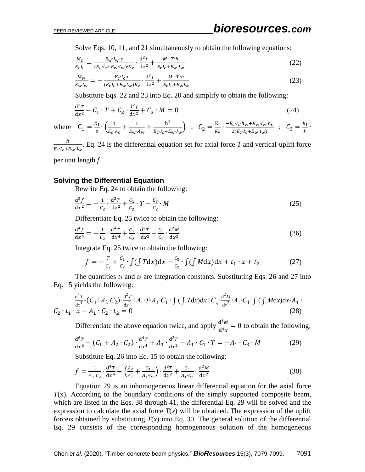Solve Eqs. 10, 11, and 21 simultaneously to obtain the following equations:

$$
\frac{M_{\rm c}}{E_{\rm c}I_{\rm c}} = \frac{E_{\rm w}I_{\rm w}e}{(E_{\rm c}I_{\rm c}+E_{\rm w}I_{\rm w})\cdot K_{\rm v}} \cdot \frac{d^2f}{dx^2} + \frac{M-T\cdot h}{E_{\rm c}I_{\rm c}+E_{\rm w}I_{\rm w}}
$$
(22)

$$
\frac{M_{\rm w}}{E_{\rm w}I_{\rm w}} = -\frac{E_{\rm c}I_{\rm c}e}{(E_{\rm c}I_{\rm c} + E_{\rm w}I_{\rm w})K_{\rm v}} \cdot \frac{d^2f}{dx^2} + \frac{M - T \cdot h}{E_{\rm c}I_{\rm c} + E_{\rm w}I_{\rm w}}\tag{23}
$$

Substitute Eqs. 22 and 23 into Eq. 20 and simplify to obtain the following:

$$
\frac{d^2T}{dx^2} - C_1 \cdot T + C_2 \cdot \frac{d^2f}{dx^2} + C_3 \cdot M = 0
$$
\n(24)

where 
$$
C_1 = \frac{K_1}{e} \cdot \left( \frac{1}{E_c \cdot A_c} + \frac{1}{E_w \cdot A_w} + \frac{h^2}{E_c \cdot I_c + E_w \cdot I_w} \right)
$$
;  $C_2 = \frac{K_1}{K_v} \cdot \frac{-E_c \cdot I_c \cdot h_w + E_w \cdot I_w \cdot h_c}{2(E_c \cdot I_c + E_w \cdot I_w)}$ ;  $C_3 = \frac{K_1}{P} \cdot$ 

ℎ  $\frac{n}{E_c \cdot I_c + E_w \cdot I_w}$ . Eq. 24 is the differential equation set for axial force *T* and vertical-uplift force per unit length *f*.

### **Solving the Differential Equation**

Rewrite Eq. 24 to obtain the following:

$$
\frac{d^2f}{dx^2} = -\frac{1}{c_2} \cdot \frac{d^2T}{dx^2} + \frac{c_1}{c_2} \cdot T - \frac{c_3}{c_2} \cdot M
$$
 (25)

Differentiate Eq. 25 twice to obtain the following:

$$
\frac{d^4f}{dx^4} = -\frac{1}{c_2} \cdot \frac{d^4T}{dx^4} + \frac{c_1}{c_2} \cdot \frac{d^2T}{dx^2} - \frac{c_3}{c_2} \cdot \frac{d^2M}{dx^2}
$$
(26)

Integrate Eq. 25 twice to obtain the following:

$$
f = -\frac{T}{c_2} + \frac{c_1}{c_2} \cdot \int (\int T dx) dx - \frac{c_3}{c_2} \cdot \int (\int M dx) dx + t_1 \cdot x + t_2 \tag{27}
$$

The quantities  $t_1$  and  $t_2$  are integration constants. Substituting Eqs. 26 and 27 into Eq. 15 yields the following:

$$
C_2 \tcdot t_1 \tcdot x - A_1 \tcdot C_2 \tcdot t_2 = 0
$$
\n
$$
(28)
$$

Differentiate the above equation twice, and apply  $\frac{d^4 M}{d^4}$  $\frac{d^{n}M}{dt^{4}x} = 0$  to obtain the following:

$$
\frac{d^{6}T}{dx^{6}} - (C_{1} + A_{2} \cdot C_{2}) \cdot \frac{d^{4}T}{dx^{4}} + A_{1} \cdot \frac{d^{2}T}{dx^{2}} - A_{1} \cdot C_{1} \cdot T = -A_{1} \cdot C_{3} \cdot M
$$
 (29)

Substitute Eq. 26 into Eq. 15 to obtain the following:

$$
f = \frac{1}{A_1 \cdot c_2} \cdot \frac{d^4 T}{dx^4} - \left(\frac{A_2}{A_1} + \frac{C_1}{A_1 \cdot c_2}\right) \cdot \frac{d^2 T}{dx^2} + \frac{C_3}{A_1 \cdot c_2} \cdot \frac{d^2 M}{dx^2}
$$
(30)

Equation 29 is an inhomogeneous linear differential equation for the axial force *T*(x). According to the boundary conditions of the simply supported composite beam, which are listed in the Eqs. 38 through 41, the differential Eq. 29 will be solved and the expression to calculate the axial force  $T(x)$  will be obtained. The expression of the uplift forceis obtained by substituting  $T(x)$  into Eq. 30. The general solution of the differential Eq. 29 consists of the corresponding homogeneous solution of the homogeneous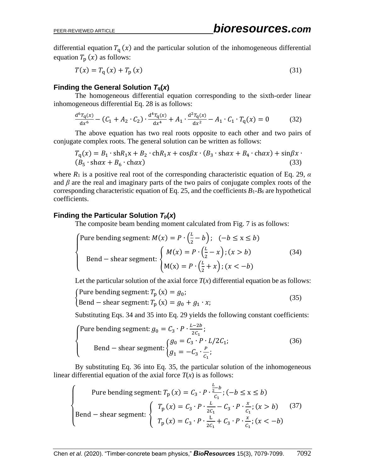differential equation  $T_q(x)$  and the particular solution of the inhomogeneous differential equation  $T_{\rm p} (x)$  as follows:

$$
T(x) = Tq(x) + Tp(x)
$$
\n(31)

## **Finding the General Solution**  $T_q(x)$

The homogeneous differential equation corresponding to the sixth-order linear inhomogeneous differential Eq. 28 is as follows:

$$
\frac{d^6T_q(x)}{dx^6} - (C_1 + A_2 \cdot C_2) \cdot \frac{d^4T_q(x)}{dx^4} + A_1 \cdot \frac{d^2T_q(x)}{dx^2} - A_1 \cdot C_1 \cdot T_q(x) = 0 \tag{32}
$$

The above equation has two real roots opposite to each other and two pairs of conjugate complex roots. The general solution can be written as follows:

$$
T_q(x) = B_1 \cdot \text{sh} R_1 x + B_2 \cdot \text{ch} R_1 x + \cos \beta x \cdot (B_3 \cdot \text{sh} \alpha x + B_4 \cdot \text{ch} \alpha x) + \sin \beta x \cdot (B_5 \cdot \text{sh} \alpha x + B_6 \cdot \text{ch} \alpha x) \tag{33}
$$

where  $R_1$  is a positive real root of the corresponding characteristic equation of Eq. 29,  $\alpha$ and  $\beta$  are the real and imaginary parts of the two pairs of conjugate complex roots of the corresponding characteristic equation of Eq. 25, and the coefficients *B*1-*B<sup>6</sup>* are hypothetical coefficients.

#### **Finding the Particular Solution**  $T_p(x)$

The composite beam bending moment calculated from Fig. 7 is as follows:

\n
$$
\text{Pure bending segment: } M(x) = P \cdot \left( \frac{L}{2} - b \right); \quad (-b \leq x \leq b)
$$
\n

\n\n $\text{Bend} - \text{shear segment: } \n \begin{cases}\n M(x) = P \cdot \left( \frac{L}{2} - x \right); \quad (x > b) \\
 M(x) = P \cdot \left( \frac{L}{2} + x \right); \quad (x < -b)\n \end{cases}$ \n

\n\n (34)\n

Let the particular solution of the axial force  $T(x)$  differential equation be as follows:

$$
\begin{cases}\n\text{Pure bending segment: } T_p(x) = g_0; \\
\text{Bend} - \text{shear segment: } T_p(x) = g_0 + g_1 \cdot x;\n\end{cases} \tag{35}
$$

Substituting Eqs. 34 and 35 into Eq. 29 yields the following constant coefficients:

$$
\begin{cases}\n\text{Pure bending segment: } g_0 = C_3 \cdot P \cdot \frac{L - 2b}{2C_1}; \\
\text{Bend} - \text{shear segment: } \begin{cases} g_0 = C_3 \cdot P \cdot L/2C_1; \\
g_1 = -C_3 \cdot \frac{P}{C_1};\n\end{cases} \tag{36}
$$

By substituting Eq. 36 into Eq. 35, the particular solution of the inhomogeneous linear differential equation of the axial force  $T(x)$  is as follows:

$$
\begin{cases}\n\text{Pure bending segment: } T_{\text{p}}(x) = C_3 \cdot P \cdot \frac{\frac{L}{2} - b}{C_1}; (-b \le x \le b) \\
\text{Bend} - \text{shear segment: } \begin{cases}\nT_{\text{p}}(x) = C_3 \cdot P \cdot \frac{L}{2C_1} - C_3 \cdot P \cdot \frac{x}{C_1}; (x > b) \\
T_{\text{p}}(x) = C_3 \cdot P \cdot \frac{L}{2C_1} + C_3 \cdot P \cdot \frac{x}{C_1}; (x < -b)\n\end{cases} (37)
$$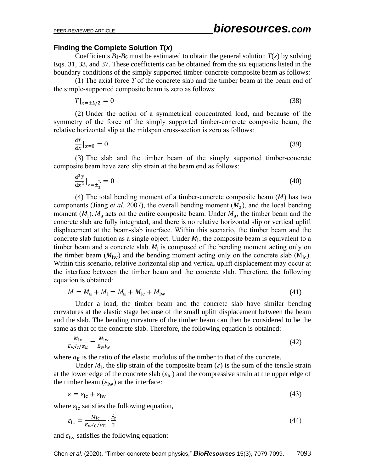#### **Finding the Complete Solution** *T***(***x***)**

Coefficients  $B_1 - B_6$  must be estimated to obtain the general solution  $T(x)$  by solving Eqs. 31, 33, and 37. These coefficients can be obtained from the six equations listed in the boundary conditions of the simply supported timber-concrete composite beam as follows:

(1) The axial force *T* of the concrete slab and the timber beam at the beam end of the simple-supported composite beam is zero as follows:

$$
T|_{x=\pm L/2} = 0 \tag{38}
$$

(2) Under the action of a symmetrical concentrated load, and because of the symmetry of the force of the simply supported timber-concrete composite beam, the relative horizontal slip at the midspan cross-section is zero as follows:

$$
\frac{\mathrm{d}x}{\mathrm{d}x}|_{x=0} = 0\tag{39}
$$

(3) The slab and the timber beam of the simply supported timber-concrete composite beam have zero slip strain at the beam end as follows:

$$
\frac{d^2T}{dx^2}\Big|_{x=\pm\frac{L}{2}} = 0\tag{40}
$$

(4) The total bending moment of a timber-concrete composite beam  $(M)$  has two components (Jiang *et al.* 2007), the overall bending moment  $(M_a)$ , and the local bending moment  $(M_1)$ .  $M_a$  acts on the entire composite beam. Under  $M_a$ , the timber beam and the concrete slab are fully integrated, and there is no relative horizontal slip or vertical uplift displacement at the beam-slab interface. Within this scenario, the timber beam and the concrete slab function as a single object. Under  $M_1$ , the composite beam is equivalent to a timber beam and a concrete slab.  $M_1$  is composed of the bending moment acting only on the timber beam  $(M_{\text{lw}})$  and the bending moment acting only on the concrete slab  $(M_{\text{lc}})$ . Within this scenario, relative horizontal slip and vertical uplift displacement may occur at the interface between the timber beam and the concrete slab. Therefore, the following equation is obtained:

$$
M = M_{\rm a} + M_{\rm l} = M_{\rm a} + M_{\rm lc} + M_{\rm lw} \tag{41}
$$

Under a load, the timber beam and the concrete slab have similar bending curvatures at the elastic stage because of the small uplift displacement between the beam and the slab. The bending curvature of the timber beam can then be considered to be the same as that of the concrete slab. Therefore, the following equation is obtained:

$$
\frac{M_{\rm lc}}{E_{\rm W}I_c/\alpha_{\rm E}} = \frac{M_{\rm lw}}{E_{\rm W}I_{\rm W}}\tag{42}
$$

where  $a_F$  is the ratio of the elastic modulus of the timber to that of the concrete.

Under  $M_1$ , the slip strain of the composite beam ( $\varepsilon$ ) is the sum of the tensile strain at the lower edge of the concrete slab  $(\varepsilon_{\text{lc}})$  and the compressive strain at the upper edge of the timber beam  $(\varepsilon_{\text{lw}})$  at the interface:

$$
\varepsilon = \varepsilon_{\rm lc} + \varepsilon_{\rm lw} \tag{43}
$$

where  $\varepsilon_{\text{lc}}$  satisfies the following equation,

$$
\varepsilon_{\rm lc} = \frac{M_{\rm lc}}{E_{\rm w}I_{\rm C}/\alpha_{\rm E}} \cdot \frac{\hbar_{\rm c}}{2} \tag{44}
$$

and  $\varepsilon_{\text{lw}}$  satisfies the following equation: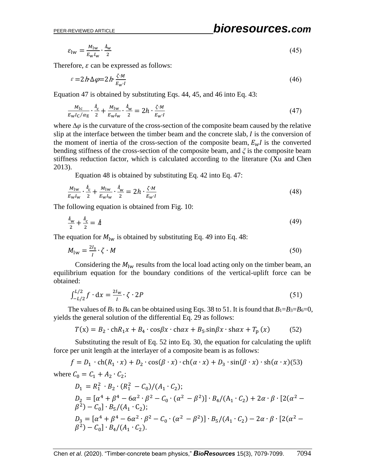## PEER-REVIEWED ARTICLE *bioresources.com*

$$
\varepsilon_{\text{lw}} = \frac{M_{\text{lw}}}{E_{\text{w}} I_{\text{w}}} \cdot \frac{\hbar_{\text{w}}}{2} \tag{45}
$$

Therefore,  $\varepsilon$  can be expressed as follows:

$$
\varepsilon = 2h\Delta\varphi = 2h\frac{\zeta \cdot M}{E_W \cdot I} \tag{46}
$$

Equation 47 is obtained by substituting Eqs. 44, 45, and 46 into Eq. 43:

$$
\frac{M_{\rm lc}}{E_{\rm w}I_{\rm C}/\alpha_{\rm E}} \cdot \frac{\dot{h}_{\rm c}}{2} + \frac{M_{\rm lw}}{E_{\rm w}I_{\rm w}} \cdot \frac{\dot{h}_{\rm w}}{2} = 2h \cdot \frac{\zeta \cdot M}{E_{\rm w'}I} \tag{47}
$$

where ∆*φ* is the curvature of the cross-section of the composite beam caused by the relative slip at the interface between the timber beam and the concrete slab,  $I$  is the conversion of the moment of inertia of the cross-section of the composite beam,  $E_w I$  is the converted bending stiffness of the cross-section of the composite beam, and *ξ* is the composite beam stiffness reduction factor, which is calculated according to the literature (Xu and Chen 2013).

Equation 48 is obtained by substituting Eq. 42 into Eq. 47:

$$
\frac{M_{\text{lw}}}{E_{\text{w}}I_{\text{w}}} \cdot \frac{\hbar_{\text{c}}}{2} + \frac{M_{\text{lw}}}{E_{\text{w}}I_{\text{w}}} \cdot \frac{\hbar_{\text{w}}}{2} = 2h \cdot \frac{\zeta \cdot M}{E_{\text{w}}I}
$$
\n(48)

The following equation is obtained from Fig. 10:

$$
\frac{\hbar_{\rm w}}{2} + \frac{\hbar_{\rm c}}{2} = \hbar \tag{49}
$$

The equation for  $M_{\text{lw}}$  is obtained by substituting Eq. 49 into Eq. 48:

$$
M_{\text{lw}} = \frac{2I_s}{I} \cdot \zeta \cdot M \tag{50}
$$

Considering the  $M_{\text{lw}}$  results from the local load acting only on the timber beam, an equilibrium equation for the boundary conditions of the vertical-uplift force can be obtained:

$$
\int_{-L/2}^{L/2} f \cdot dx = \frac{2I_w}{I} \cdot \zeta \cdot 2P \tag{51}
$$

The values of  $B_1$  to  $B_6$  can be obtained using Eqs. 38 to 51. It is found that  $B_1 = B_3 = B_6 = 0$ , yields the general solution of the differential Eq. 29 as follows:

$$
T(x) = B_2 \cdot \text{ch}R_1 x + B_4 \cdot \cos\beta x \cdot \text{ch}ax + B_5 \cdot \sin\beta x \cdot \text{sh}ax + T_p(x) \tag{52}
$$

Substituting the result of Eq. 52 into Eq. 30, the equation for calculating the uplift force per unit length at the interlayer of a composite beam is as follows:

$$
f = D_1 \cdot \text{ch}(R_1 \cdot x) + D_2 \cdot \cos(\beta \cdot x) \cdot \text{ch}(\alpha \cdot x) + D_3 \cdot \sin(\beta \cdot x) \cdot \text{sh}(\alpha \cdot x) (53)
$$
  
where  $C_0 = C_1 + A_2 \cdot C_2$ ;  

$$
D_1 = R_1^2 \cdot B_2 \cdot (R_1^2 - C_0) / (A_1 \cdot C_2)
$$
;

$$
D_1 = R_1^2 \cdot B_2 \cdot (R_1^2 - C_0)/(A_1 \cdot C_2);
$$
  
\n
$$
D_2 = [\alpha^4 + \beta^4 - 6\alpha^2 \cdot \beta^2 - C_0 \cdot (\alpha^2 - \beta^2)] \cdot B_4/(A_1 \cdot C_2) + 2\alpha \cdot \beta \cdot [2(\alpha^2 - \beta^2) - C_0] \cdot B_5/(A_1 \cdot C_2);
$$
  
\n
$$
D_3 = [\alpha^4 + \beta^4 - 6\alpha^2 \cdot \beta^2 - C_0 \cdot (\alpha^2 - \beta^2)] \cdot B_5/(A_1 \cdot C_2) - 2\alpha \cdot \beta \cdot [2(\alpha^2 - \beta^2) - C_0] \cdot B_4/(A_1 \cdot C_2).
$$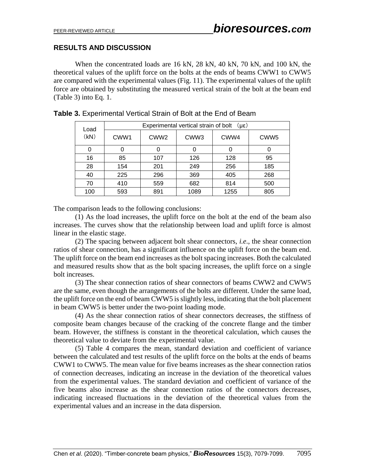## **RESULTS AND DISCUSSION**

When the concentrated loads are 16 kN, 28 kN, 40 kN, 70 kN, and 100 kN, the theoretical values of the uplift force on the bolts at the ends of beams CWW1 to CWW5 are compared with the experimental values (Fig. 11). The experimental values of the uplift force are obtained by substituting the measured vertical strain of the bolt at the beam end (Table 3) into Eq. 1.

| Load<br>(kN) | Experimental vertical strain of bolt<br>$(\mu \epsilon)$ |                  |                  |      |                  |  |  |
|--------------|----------------------------------------------------------|------------------|------------------|------|------------------|--|--|
|              | CWW1                                                     | CWW <sub>2</sub> | CWW <sub>3</sub> | CWW4 | CWW <sub>5</sub> |  |  |
|              | 0                                                        |                  |                  |      | 0                |  |  |
| 16           | 85                                                       | 107              | 126              | 128  | 95               |  |  |
| 28           | 154                                                      | 201              | 249              | 256  | 185              |  |  |
| 40           | 225                                                      | 296              | 369              | 405  | 268              |  |  |
| 70           | 410                                                      | 559              | 682              | 814  | 500              |  |  |
| 100          | 593                                                      | 891              | 1089             | 1255 | 805              |  |  |

|  | <b>Table 3.</b> Experimental Vertical Strain of Bolt at the End of Beam |  |  |  |
|--|-------------------------------------------------------------------------|--|--|--|
|  |                                                                         |  |  |  |

The comparison leads to the following conclusions:

(1) As the load increases, the uplift force on the bolt at the end of the beam also increases. The curves show that the relationship between load and uplift force is almost linear in the elastic stage.

(2) The spacing between adjacent bolt shear connectors, *i.e*., the shear connection ratios of shear connection, has a significant influence on the uplift force on the beam end. The uplift force on the beam end increases as the bolt spacing increases. Both the calculated and measured results show that as the bolt spacing increases, the uplift force on a single bolt increases.

(3) The shear connection ratios of shear connectors of beams CWW2 and CWW5 are the same, even though the arrangements of the bolts are different. Under the same load, the uplift force on the end of beam CWW5 is slightly less, indicating that the bolt placement in beam CWW5 is better under the two-point loading mode.

(4) As the shear connection ratios of shear connectors decreases, the stiffness of composite beam changes because of the cracking of the concrete flange and the timber beam. However, the stiffness is constant in the theoretical calculation, which causes the theoretical value to deviate from the experimental value.

(5) Table 4 compares the mean, standard deviation and coefficient of variance between the calculated and test results of the uplift force on the bolts at the ends of beams CWW1 to CWW5. The mean value for five beams increases as the shear connection ratios of connection decreases, indicating an increase in the deviation of the theoretical values from the experimental values. The standard deviation and coefficient of variance of the five beams also increase as the shear connection ratios of the connectors decreases, indicating increased fluctuations in the deviation of the theoretical values from the experimental values and an increase in the data dispersion.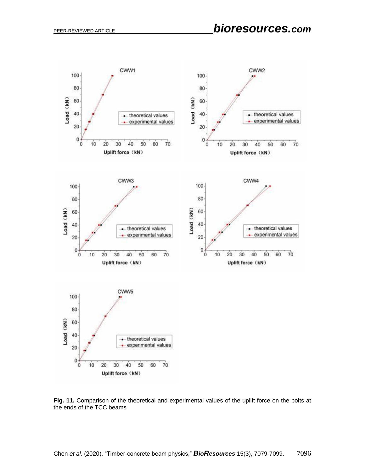

**Fig. 11.** Comparison of the theoretical and experimental values of the uplift force on the bolts at the ends of the TCC beams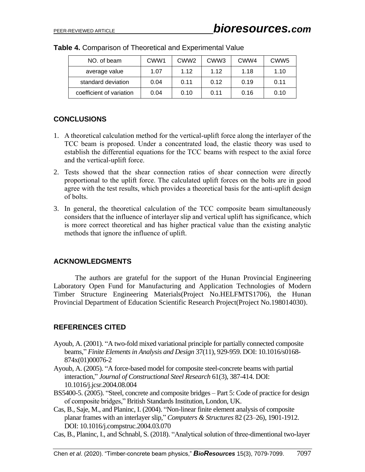| NO. of beam              | CWW <sub>1</sub> | CWW <sub>2</sub> | CWW <sub>3</sub> | CWW4 | CWW <sub>5</sub> |
|--------------------------|------------------|------------------|------------------|------|------------------|
| average value            | 1.07             | 1.12             | 1 1 2            | 1.18 | 1.10             |
| standard deviation       | 0.04             | 0.11             | 0.12             | 0.19 | 0.11             |
| coefficient of variation | 0.04             | 0.10             | 0.11             | 0.16 | 0.10             |

|  |  |  | Table 4. Comparison of Theoretical and Experimental Value |  |
|--|--|--|-----------------------------------------------------------|--|
|--|--|--|-----------------------------------------------------------|--|

## **CONCLUSIONS**

- 1. A theoretical calculation method for the vertical-uplift force along the interlayer of the TCC beam is proposed. Under a concentrated load, the elastic theory was used to establish the differential equations for the TCC beams with respect to the axial force and the vertical-uplift force.
- 2. Tests showed that the shear connection ratios of shear connection were directly proportional to the uplift force. The calculated uplift forces on the bolts are in good agree with the test results, which provides a theoretical basis for the anti-uplift design of bolts.
- 3. In general, the theoretical calculation of the TCC composite beam simultaneously considers that the influence of interlayer slip and vertical uplift has significance, which is more correct theoretical and has higher practical value than the existing analytic methods that ignore the influence of uplift.

#### **ACKNOWLEDGMENTS**

The authors are grateful for the support of the Hunan Provincial Engineering Laboratory Open Fund for Manufacturing and Application Technologies of Modern Timber Structure Engineering Materials(Project No.HELFMTS1706), the Hunan Provincial Department of Education Scientific Research Project(Project No.198014030).

## **REFERENCES CITED**

- Ayoub, A. (2001). "A two-fold mixed variational principle for partially connected composite beams," *Finite Elements in Analysis and Design* 37(11), 929-959. DOI: 10.1016/s0168- 874x(01)00076-2
- Ayoub, A. (2005). "A force-based model for composite steel-concrete beams with partial interaction," *Journal of Constructional Steel Research* 61(3), 387-414. DOI: 10.1016/j.jcsr.2004.08.004
- BS5400-5. (2005). "Steel, concrete and composite bridges Part 5: Code of practice for design of composite bridges," British Standards Institution, London, UK.
- Cas, B., Saje, M., and Planinc, I. (2004). "Non-linear finite element analysis of composite planar frames with an interlayer slip," *Computers & Structures* 82 (23–26), 1901-1912. DOI: 10.1016/j.compstruc.2004.03.070
- Cas, B., Planinc, I., and Schnabl, S. (2018). "Analytical solution of three-dimentional two-layer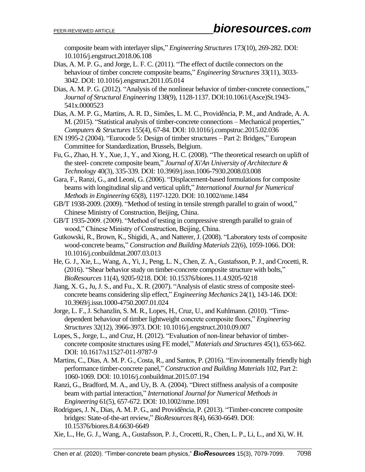composite beam with interlayer slips," *Engineering Structures* 173(10), 269-282. DOI: 10.1016/j.engstruct.2018.06.108

- Dias, A. M. P. G., and Jorge, L. F. C. (2011). "The effect of ductile connectors on the behaviour of timber concrete composite beams," *Engineering Structures* 33(11), 3033- 3042. DOI: 10.1016/j.engstruct.2011.05.014
- Dias, A. M. P. G. (2012). "Analysis of the nonlinear behavior of timber-concrete connections," *Journal of Structural Engineering* 138(9), 1128-1137. DOI:10.1061/(Asce)St.1943- 541x.0000523
- Dias, A. M. P. G., Martins, A. R. D., Simões, L. M. C., Providência, P. M., and Andrade, A. A. M. (2015). "Statistical analysis of timber-concrete connections – Mechanical properties," *Computers & Structures* 155(4), 67-84. DOI: 10.1016/j.compstruc.2015.02.036
- EN 1995-2 (2004). "Eurocode 5: Design of timber structures Part 2: Bridges," European Committee for Standardization, Brussels, Belgium.
- Fu, G., Zhao, H. Y., Xue, J., Y., and Xiong, H. C. (2008). "The theoretical research on uplift of the steel- concrete composite beam," *Journal of Xi'An University of Architecture & Technology* 40(3), 335-339. DOI: 10.3969/j.issn.1006-7930.2008.03.008
- Gara, F., Ranzi, G., and Leoni, G. (2006). "Displacement-based formulations for composite beams with longitudinal slip and vertical uplift," *International Journal for Numerical Methods in Engineering* 65(8), 1197-1220. DOI: 10.1002/nme.1484
- GB/T 1938-2009. (2009). "Method of testing in tensile strength parallel to grain of wood," Chinese Ministry of Construction, Beijing, China.
- GB/T 1935-2009. (2009). "Method of testing in compressive strength parallel to grain of wood," Chinese Ministry of Construction, Beijing, China.
- Gutkowski, R., Brown, K., Shigidi, A., and Natterer, J. (2008). "Laboratory tests of composite wood-concrete beams," *Construction and Building Materials* 22(6), 1059-1066. DOI: 10.1016/j.conbuildmat.2007.03.013
- He, G. J., Xie, L., Wang, A., Yi, J., Peng, L. N., Chen, Z. A., Gustafsson, P. J., and Crocetti, R. (2016). "Shear behavior study on timber-concrete composite structure with bolts," *BioResources* 11(4), 9205-9218. DOI: 10.15376/biores.11.4.9205-9218
- Jiang, X. G., Ju, J. S., and Fu., X. R. (2007). "Analysis of elastic stress of composite steelconcrete beams considering slip effect," *Engineering Mechanics* 24(1), 143-146. DOI: 10.3969/j.issn.1000-4750.2007.01.024
- Jorge, L. F., J. Schanzlin, S. M. R., Lopes, H., Cruz, U., and Kuhlmann. (2010). "Timedependent behaviour of timber lightweight concrete composite floors," *[Engineering](https://www.sciencedirect.com/science/journal/01410296)  [Structures](https://www.sciencedirect.com/science/journal/01410296)* 32(12), 3966-3973. DOI: 10.1016/j.engstruct.2010.09.007
- Lopes, S., Jorge, L., and Cruz, H. (2012). "Evaluation of non-linear behavior of timberconcrete composite structures using FE model," *Materials and Structures* 45(1), 653-662. DOI: 10.1617/s11527-011-9787-9
- Martins, C., Dias, A. M. P. G., Costa, R., and Santos, P. (2016). "Environmentally friendly high performance timber-concrete panel," *Construction and Building Materials* 102, Part 2: 1060-1069. DOI: 10.1016/j.conbuildmat.2015.07.194
- Ranzi, G., Bradford, M. A., and Uy, B. A. (2004). "Direct stiffness analysis of a composite beam with partial interaction," *International Journal for Numerical Methods in Engineering* 61(5), 657-672. DOI: 10.1002/nme.1091
- Rodrigues, J. N., Dias, A. M. P. G., and Providência, P. (2013). "Timber-concrete composite bridges: State-of-the-art review," *BioResources* 8(4), 6630-6649. DOI: 10.15376/biores.8.4.6630-6649
- Xie, L., He, G. J., Wang, A., Gustafsson, P. J., Crocetti, R., Chen, L. P., Li, L., and Xi, W. H.